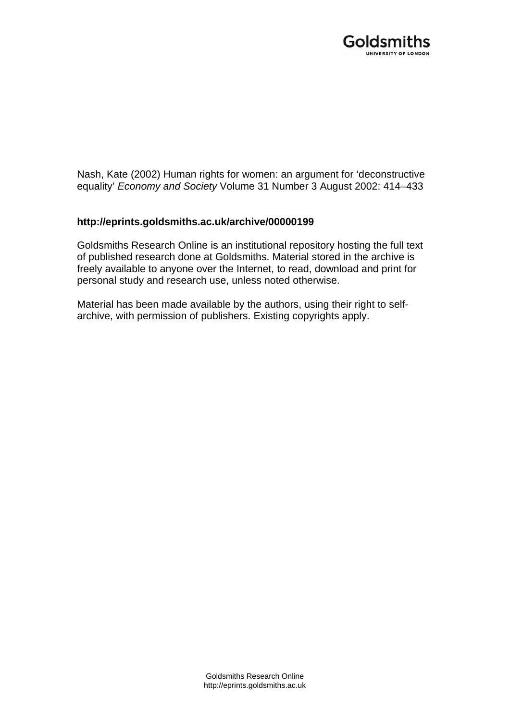

Nash, Kate (2002) Human rights for women: an argument for 'deconstructive equality' *Economy and Society* Volume 31 Number 3 August 2002: 414–433

## **http://eprints.goldsmiths.ac.uk/archive/00000199**

Goldsmiths Research Online is an institutional repository hosting the full text of published research done at Goldsmiths. Material stored in the archive is freely available to anyone over the Internet, to read, download and print for personal study and research use, unless noted otherwise.

Material has been made available by the authors, using their right to selfarchive, with permission of publishers. Existing copyrights apply.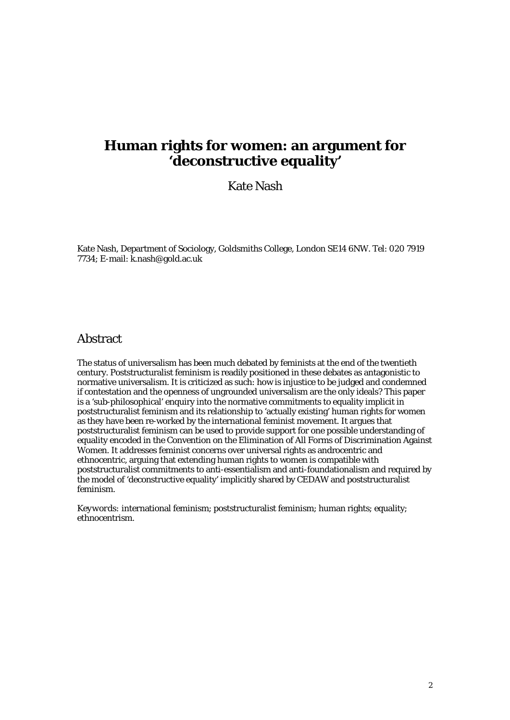# **Human rights for women: an argument for 'deconstructive equality'**

Kate Nash

Kate Nash, Department of Sociology, Goldsmiths College, London SE14 6NW. Tel: 020 7919 7734; E-mail: k.nash@gold.ac.uk

# Abstract

The status of universalism has been much debated by feminists at the end of the twentieth century. Poststructuralist feminism is readily positioned in these debates as antagonistic to normative universalism. It is criticized as such: how is injustice to be judged and condemned if contestation and the openness of ungrounded universalism are the only ideals? This paper is a 'sub-philosophical' enquiry into the normative commitments to equality implicit in poststructuralist feminism and its relationship to 'actually existing' human rights for women as they have been re-worked by the international feminist movement. It argues that poststructuralist feminism can be used to provide support for one possible understanding of equality encoded in the Convention on the Elimination of All Forms of Discrimination Against Women. It addresses feminist concerns over universal rights as androcentric and ethnocentric, arguing that extending human rights to women is compatible with poststructuralist commitments to anti-essentialism and anti-foundationalism and required by the model of 'deconstructive equality' implicitly shared by CEDAW and poststructuralist feminism.

*Keywords:* international feminism; poststructuralist feminism; human rights; equality; ethnocentrism.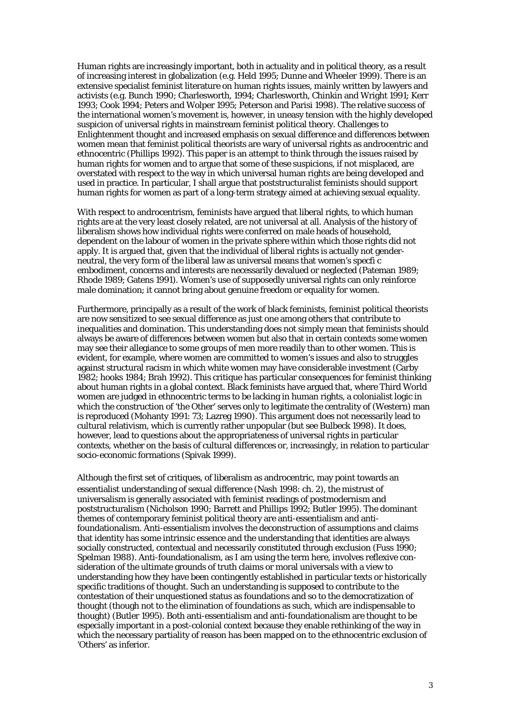Human rights are increasingly important, both in actuality and in political theory, as a result of increasing interest in globalization (e.g. Held 1995; Dunne and Wheeler 1999). There is an extensive specialist feminist literature on human rights issues, mainly written by lawyers and activists (e.g. Bunch 1990; Charlesworth, 1994; Charlesworth, Chinkin and Wright 1991; Kerr 1993; Cook 1994; Peters and Wolper 1995; Peterson and Parisi 1998). The relative success of the international women's movement is, however, in uneasy tension with the highly developed suspicion of universal rights in mainstream feminist political theory. Challenges to Enlightenment thought and increased emphasis on sexual difference and differences between women mean that feminist political theorists are wary of universal rights as androcentric and ethnocentric (Phillips 1992). This paper is an attempt to think through the issues raised by human rights for women and to argue that some of these suspicions, if not misplaced, are overstated with respect to the way in which universal human rights are being developed and used in practice. In particular, I shall argue that poststructuralist feminists should support human rights for women as part of a long-term strategy aimed at achieving sexual equality.

With respect to androcentrism, feminists have argued that liberal rights, to which human rights are at the very least closely related, are not universal at all. Analysis of the history of liberalism shows how individual rights were conferred on male heads of household, dependent on the labour of women in the private sphere within which those rights did not apply. It is argued that, given that the individual of liberal rights is actually not genderneutral, the very form of the liberal law as universal means that women's specfi c embodiment, concerns and interests are necessarily devalued or neglected (Pateman 1989; Rhode 1989; Gatens 1991). Women's use of supposedly universal rights can only reinforce male domination; it cannot bring about genuine freedom or equality for women.

Furthermore, principally as a result of the work of black feminists, feminist political theorists are now sensitized to see sexual difference as just one among others that contribute to inequalities and domination. This understanding does not simply mean that feminists should always be aware of differences between women but also that in certain contexts some women may see their allegiance to some groups of men more readily than to other women. This is evident, for example, where women are committed to women's issues and also to struggles against structural racism in which white women may have considerable investment (Carby 1982; hooks 1984; Brah 1992). This critique has particular consequences for feminist thinking about human rights in a global context. Black feminists have argued that, where Third World women are judged in ethnocentric terms to be lacking in human rights, a colonialist logic in which the construction of 'the Other' serves only to legitimate the centrality of (Western) man is reproduced (Mohanty 1991: 73; Lazreg 1990). This argument does not necessarily lead to cultural relativism, which is currently rather unpopular (but see Bulbeck 1998). It does, however, lead to questions about the appropriateness of universal rights in particular contexts, whether on the basis of cultural differences or, increasingly, in relation to particular socio-economic formations (Spivak 1999).

Although the first set of critiques, of liberalism as androcentric, may point towards an essentialist understanding of sexual difference (Nash 1998: ch. 2), the mistrust of universalism is generally associated with feminist readings of postmodernism and poststructuralism (Nicholson 1990; Barrett and Phillips 1992; Butler 1995). The dominant themes of contemporary feminist political theory are anti-essentialism and antifoundationalism. Anti-essentialism involves the deconstruction of assumptions and claims that identity has some intrinsic essence and the understanding that identities are always socially constructed, contextual and necessarily constituted through exclusion (Fuss 1990; Spelman 1988). Anti-foundationalism, as I am using the term here, involves reflexive consideration of the ultimate grounds of truth claims or moral universals with a view to understanding how they have been contingently established in particular texts or historically specific traditions of thought. Such an understanding is supposed to contribute to the contestation of their unquestioned status as foundations and so to the democratization of thought (though not to the elimination of foundations as such, which are indispensable to thought) (Butler 1995). Both anti-essentialism and anti-foundationalism are thought to be especially important in a post-colonial context because they enable rethinking of the way in which the necessary partiality of reason has been mapped on to the ethnocentric exclusion of 'Others' as inferior.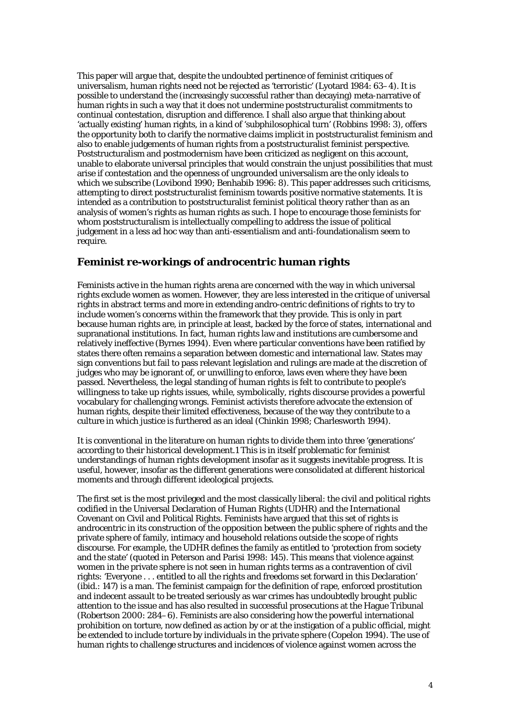This paper will argue that, despite the undoubted pertinence of feminist critiques of universalism, human rights need not be rejected as 'terroristic' (Lyotard 1984: 63–4). It is possible to understand the (increasingly successful rather than decaying) meta-narrative of human rights in such a way that it does not undermine poststructuralist commitments to continual contestation, disruption and difference. I shall also argue that thinking about 'actually existing' human rights, in a kind of 'subphilosophical turn' (Robbins 1998: 3), offers the opportunity both to clarify the normative claims implicit in poststructuralist feminism and also to enable judgements of human rights from a poststructuralist feminist perspective. Poststructuralism and postmodernism have been criticized as negligent on this account, unable to elaborate universal principles that would constrain the unjust possibilities that must arise if contestation and the openness of ungrounded universalism are the only ideals to which we subscribe (Lovibond 1990; Benhabib 1996: 8). This paper addresses such criticisms, attempting to direct poststructuralist feminism towards positive normative statements. It is intended as a contribution to poststructuralist feminist political theory rather than as an analysis of women's rights as human rights as such. I hope to encourage those feminists for whom poststructuralism is intellectually compelling to address the issue of political judgement in a less ad hoc way than anti-essentialism and anti-foundationalism seem to require.

#### **Feminist re-workings of androcentric human rights**

Feminists active in the human rights arena are concerned with the way in which universal rights exclude women as women. However, they are less interested in the critique of universal rights in abstract terms and more in extending andro-centric definitions of rights to try to include women's concerns within the framework that they provide. This is only in part because human rights are, in principle at least, backed by the force of states, international and supranational institutions. In fact, human rights law and institutions are cumbersome and relatively ineffective (Byrnes 1994). Even where particular conventions have been ratified by states there often remains a separation between domestic and international law. States may sign conventions but fail to pass relevant legislation and rulings are made at the discretion of judges who may be ignorant of, or unwilling to enforce, laws even where they have been passed. Nevertheless, the legal standing of human rights is felt to contribute to people's willingness to take up rights issues, while, symbolically, rights discourse provides a powerful vocabulary for challenging wrongs. Feminist activists therefore advocate the extension of human rights, despite their limited effectiveness, because of the way they contribute to a culture in which justice is furthered as an ideal (Chinkin 1998; Charlesworth 1994).

It is conventional in the literature on human rights to divide them into three 'generations' according to their historical development.1 This is in itself problematic for feminist understandings of human rights development insofar as it suggests inevitable progress. It is useful, however, insofar as the different generations were consolidated at different historical moments and through different ideological projects.

The first set is the most privileged and the most classically liberal: the civil and political rights codified in the Universal Declaration of Human Rights (UDHR) and the International Covenant on Civil and Political Rights. Feminists have argued that this set of rights is androcentric in its construction of the opposition between the public sphere of rights and the private sphere of family, intimacy and household relations outside the scope of rights discourse. For example, the UDHR defines the family as entitled to 'protection from society and the state' (quoted in Peterson and Parisi 1998: 145). This means that violence against women in the private sphere is not seen in human rights terms as a contravention of civil rights: 'Everyone . . . entitled to all the rights and freedoms set forward in this Declaration' (ibid.: 147) is a man. The feminist campaign for the definition of rape, enforced prostitution and indecent assault to be treated seriously as war crimes has undoubtedly brought public attention to the issue and has also resulted in successful prosecutions at the Hague Tribunal (Robertson 2000: 284–6). Feminists are also considering how the powerful international prohibition on torture, now defined as action by or at the instigation of a public official, might be extended to include torture by individuals in the private sphere (Copelon 1994). The use of human rights to challenge structures and incidences of violence against women across the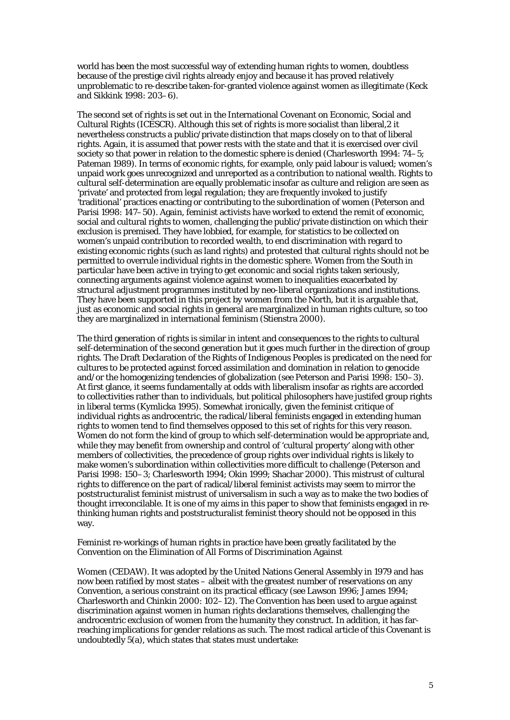world has been the most successful way of extending human rights to women, doubtless because of the prestige civil rights already enjoy and because it has proved relatively unproblematic to re-describe taken-for-granted violence against women as illegitimate (Keck and Sikkink 1998: 203–6).

The second set of rights is set out in the International Covenant on Economic, Social and Cultural Rights (ICESCR). Although this set of rights is more socialist than liberal,2 it nevertheless constructs a public/private distinction that maps closely on to that of liberal rights. Again, it is assumed that power rests with the state and that it is exercised over civil society so that power in relation to the domestic sphere is denied (Charlesworth 1994: 74–5; Pateman 1989). In terms of economic rights, for example, only paid labour is valued; women's unpaid work goes unrecognized and unreported as a contribution to national wealth. Rights to cultural self-determination are equally problematic insofar as culture and religion are seen as 'private' and protected from legal regulation; they are frequently invoked to justify 'traditional' practices enacting or contributing to the subordination of women (Peterson and Parisi 1998: 147–50). Again, feminist activists have worked to extend the remit of economic, social and cultural rights to women, challenging the public/private distinction on which their exclusion is premised. They have lobbied, for example, for statistics to be collected on women's unpaid contribution to recorded wealth, to end discrimination with regard to existing economic rights (such as land rights) and protested that cultural rights should not be permitted to overrule individual rights in the domestic sphere. Women from the South in particular have been active in trying to get economic and social rights taken seriously, connecting arguments against violence against women to inequalities exacerbated by structural adjustment programmes instituted by neo-liberal organizations and institutions. They have been supported in this project by women from the North, but it is arguable that, just as economic and social rights in general are marginalized in human rights culture, so too they are marginalized in international feminism (Stienstra 2000).

The third generation of rights is similar in intent and consequences to the rights to cultural self-determination of the second generation but it goes much further in the direction of group rights. The Draft Declaration of the Rights of Indigenous Peoples is predicated on the need for cultures to be protected against forced assimilation and domination in relation to genocide and/or the homogenizing tendencies of globalization (see Peterson and Parisi 1998: 150–3). At first glance, it seems fundamentally at odds with liberalism insofar as rights are accorded to collectivities rather than to individuals, but political philosophers have justifed group rights in liberal terms (Kymlicka 1995). Somewhat ironically, given the feminist critique of individual rights as androcentric, the radical/liberal feminists engaged in extending human rights to women tend to find themselves opposed to this set of rights for this very reason. Women do not form the kind of group to which self-determination would be appropriate and, while they may benefit from ownership and control of 'cultural property' along with other members of collectivities, the precedence of group rights over individual rights is likely to make women's subordination within collectivities more difficult to challenge (Peterson and Parisi 1998: 150–3; Charlesworth 1994; Okin 1999; Shachar 2000). This mistrust of cultural rights to difference on the part of radical/liberal feminist activists may seem to mirror the poststructuralist feminist mistrust of universalism in such a way as to make the two bodies of thought irreconcilable. It is one of my aims in this paper to show that feminists engaged in rethinking human rights and poststructuralist feminist theory should not be opposed in this way.

Feminist re-workings of human rights in practice have been greatly facilitated by the Convention on the Elimination of All Forms of Discrimination Against

Women (CEDAW). It was adopted by the United Nations General Assembly in 1979 and has now been ratified by most states – albeit with the greatest number of reservations on any Convention, a serious constraint on its practical efficacy (see Lawson 1996; James 1994; Charlesworth and Chinkin 2000: 102–12). The Convention has been used to argue against discrimination against women in human rights declarations themselves, challenging the androcentric exclusion of women from the humanity they construct. In addition, it has farreaching implications for gender relations as such. The most radical article of this Covenant is undoubtedly 5(a), which states that states must undertake: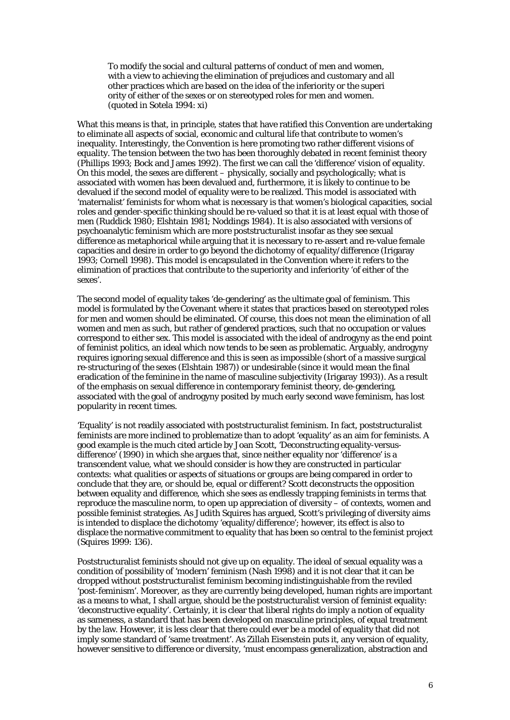To modify the social and cultural patterns of conduct of men and women, with a view to achieving the elimination of prejudices and customary and all other practices which are based on the idea of the inferiority or the superi ority of either of the sexes or on stereotyped roles for men and women. (quoted in Sotela 1994: xi)

What this means is that, in principle, states that have ratified this Convention are undertaking to eliminate all aspects of social, economic and cultural life that contribute to women's inequality. Interestingly, the Convention is here promoting two rather different visions of equality. The tension between the two has been thoroughly debated in recent feminist theory (Phillips 1993; Bock and James 1992). The first we can call the 'difference' vision of equality. On this model, the sexes are different – physically, socially and psychologically; what is associated with women has been devalued and, furthermore, it is likely to continue to be devalued if the second model of equality were to be realized. This model is associated with 'maternalist' feminists for whom what is necessary is that women's biological capacities, social roles and gender-specific thinking should be re-valued so that it is at least equal with those of men (Ruddick 1980; Elshtain 1981; Noddings 1984). It is also associated with versions of psychoanalytic feminism which are more poststructuralist insofar as they see sexual difference as metaphorical while arguing that it is necessary to re-assert and re-value female capacities and desire in order to go beyond the dichotomy of equality/difference (Irigaray 1993; Cornell 1998). This model is encapsulated in the Convention where it refers to the elimination of practices that contribute to the superiority and inferiority 'of either of the sexes'.

The second model of equality takes 'de-gendering' as the ultimate goal of feminism. This model is formulated by the Covenant where it states that practices based on stereotyped roles for men and women should be eliminated. Of course, this does not mean the elimination of all women and men as such, but rather of gendered practices, such that no occupation or values correspond to either sex. This model is associated with the ideal of androgyny as the end point of feminist politics, an ideal which now tends to be seen as problematic. Arguably, androgyny requires ignoring sexual difference and this is seen as impossible (short of a massive surgical re-structuring of the sexes (Elshtain 1987)) or undesirable (since it would mean the final eradication of the feminine in the name of masculine subjectivity (Irigaray 1993)). As a result of the emphasis on sexual difference in contemporary feminist theory, de-gendering, associated with the goal of androgyny posited by much early second wave feminism, has lost popularity in recent times.

'Equality' is not readily associated with poststructuralist feminism. In fact, poststructuralist feminists are more inclined to problematize than to adopt 'equality' as an aim for feminists. A good example is the much cited article by Joan Scott, 'Deconstructing equality-versusdifference' (1990) in which she argues that, since neither equality nor 'difference' is a transcendent value, what we should consider is how they are constructed in particular contexts: what qualities or aspects of situations or groups are being compared in order to conclude that they are, or should be, equal or different? Scott deconstructs the opposition between equality and difference, which she sees as endlessly trapping feminists in terms that reproduce the masculine norm, to open up appreciation of diversity – of contexts, women and possible feminist strategies. As Judith Squires has argued, Scott's privileging of diversity aims is intended to displace the dichotomy 'equality/difference'; however, its effect is also to displace the normative commitment to equality that has been so central to the feminist project (Squires 1999: 136).

Poststructuralist feminists should not give up on equality. The ideal of sexual equality was a condition of possibility of 'modern' feminism (Nash 1998) and it is not clear that it can be dropped without poststructuralist feminism becoming indistinguishable from the reviled 'post-feminism'. Moreover, as they are currently being developed, human rights are important as a means to what, I shall argue, should be the poststructuralist version of feminist equality: 'deconstructive equality'. Certainly, it is clear that liberal rights do imply a notion of equality as sameness, a standard that has been developed on masculine principles, of equal treatment by the law. However, it is less clear that there could ever be a model of equality that did not imply some standard of 'same treatment'. As Zillah Eisenstein puts it, any version of equality, however sensitive to difference or diversity, 'must encompass generalization, abstraction and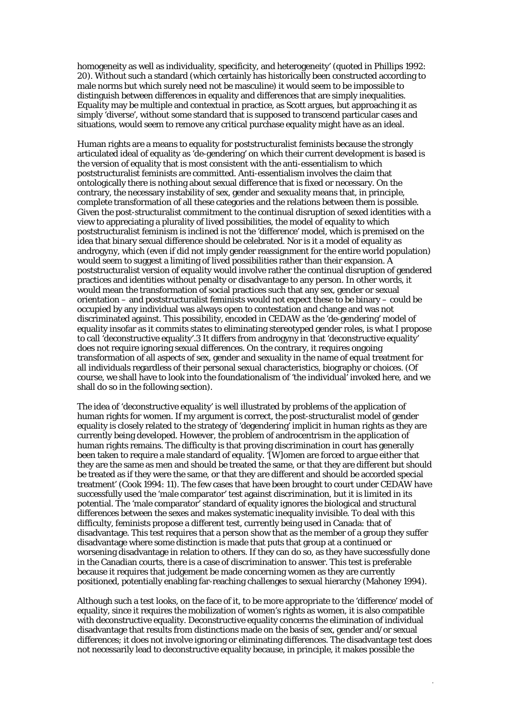homogeneity as well as individuality, specificity, and heterogeneity' (quoted in Phillips 1992: 20). Without such a standard (which certainly has historically been constructed according to male norms but which surely need not be masculine) it would seem to be impossible to distinguish between differences in equality and differences that are simply inequalities. Equality may be multiple and contextual in practice, as Scott argues, but approaching it as simply 'diverse', without some standard that is supposed to transcend particular cases and situations, would seem to remove any critical purchase equality might have as an ideal.

Human rights are a means to equality for poststructuralist feminists because the strongly articulated ideal of equality as 'de-gendering' on which their current development is based is the version of equality that is most consistent with the anti-essentialism to which poststructuralist feminists are committed. Anti-essentialism involves the claim that ontologically there is nothing about sexual difference that is fixed or necessary. On the contrary, the necessary instability of sex, gender and sexuality means that, in principle, complete transformation of all these categories and the relations between them is possible. Given the post-structuralist commitment to the continual disruption of sexed identities with a view to appreciating a plurality of lived possibilities, the model of equality to which poststructuralist feminism is inclined is not the 'difference' model, which is premised on the idea that binary sexual difference should be celebrated. Nor is it a model of equality as androgyny, which (even if did not imply gender reassignment for the entire world population) would seem to suggest a limiting of lived possibilities rather than their expansion. A poststructuralist version of equality would involve rather the continual disruption of gendered practices and identities without penalty or disadvantage to any person. In other words, it would mean the transformation of social practices such that any sex, gender or sexual orientation – and poststructuralist feminists would not expect these to be binary – could be occupied by any individual was always open to contestation and change and was not discriminated against. This possibility, encoded in CEDAW as the 'de-gendering' model of equality insofar as it commits states to eliminating stereotyped gender roles, is what I propose to call 'deconstructive equality'.3 It differs from androgyny in that 'deconstructive equality' does not require ignoring sexual differences. On the contrary, it requires ongoing transformation of all aspects of sex, gender and sexuality in the name of equal treatment for all individuals regardless of their personal sexual characteristics, biography or choices. (Of course, we shall have to look into the foundationalism of 'the individual' invoked here, and we shall do so in the following section).

The idea of 'deconstructive equality' is well illustrated by problems of the application of human rights for women. If my argument is correct, the post-structuralist model of gender equality is closely related to the strategy of 'degendering' implicit in human rights as they are currently being developed. However, the problem of androcentrism in the application of human rights remains. The difficulty is that proving discrimination in court has generally been taken to require a male standard of equality. '[W]omen are forced to argue either that they are the same as men and should be treated the same, or that they are different but should be treated as if they were the same, or that they are different and should be accorded special treatment' (Cook 1994: 11). The few cases that have been brought to court under CEDAW have successfully used the 'male comparator' test against discrimination, but it is limited in its potential. The 'male comparator' standard of equality ignores the biological and structural differences between the sexes and makes systematic inequality invisible. To deal with this difficulty, feminists propose a different test, currently being used in Canada: that of disadvantage. This test requires that a person show that as the member of a group they suffer disadvantage where some distinction is made that puts that group at a continued or worsening disadvantage in relation to others. If they can do so, as they have successfully done in the Canadian courts, there is a case of discrimination to answer. This test is preferable because it requires that judgement be made concerning women as they are currently positioned, potentially enabling far-reaching challenges to sexual hierarchy (Mahoney 1994).

Although such a test looks, on the face of it, to be more appropriate to the 'difference' model of equality, since it requires the mobilization of women's rights as women, it is also compatible with deconstructive equality. Deconstructive equality concerns the elimination of individual disadvantage that results from distinctions made on the basis of sex, gender and/or sexual differences; it does not involve ignoring or eliminating differences. The disadvantage test does not necessarily lead to deconstructive equality because, in principle, it makes possible the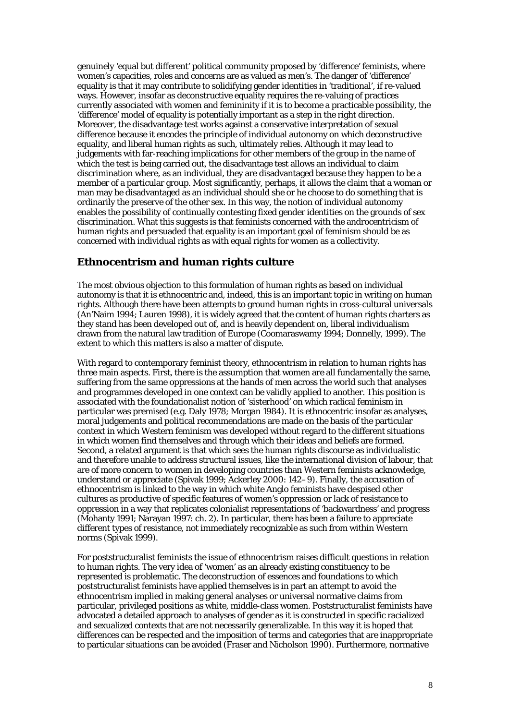genuinely 'equal but different' political community proposed by 'difference' feminists, where women's capacities, roles and concerns are as valued as men's. The danger of 'difference' equality is that it may contribute to solidifying gender identities in 'traditional', if re-valued ways. However, insofar as deconstructive equality requires the re-valuing of practices currently associated with women and femininity if it is to become a practicable possibility, the 'difference' model of equality is potentially important as a step in the right direction. Moreover, the disadvantage test works against a conservative interpretation of sexual difference because it encodes the principle of individual autonomy on which deconstructive equality, and liberal human rights as such, ultimately relies. Although it may lead to judgements with far-reaching implications for other members of the group in the name of which the test is being carried out, the disadvantage test allows an individual to claim discrimination where, as an individual, they are disadvantaged because they happen to be a member of a particular group. Most significantly, perhaps, it allows the claim that a woman or man may be disadvantaged as an individual should she or he choose to do something that is ordinarily the preserve of the other sex. In this way, the notion of individual autonomy enables the possibility of continually contesting fixed gender identities on the grounds of sex discrimination. What this suggests is that feminists concerned with the androcentricism of human rights and persuaded that equality is an important goal of feminism should be as concerned with individual rights as with equal rights for women as a collectivity.

## **Ethnocentrism and human rights culture**

The most obvious objection to this formulation of human rights as based on individual autonomy is that it is ethnocentric and, indeed, this is an important topic in writing on human rights. Although there have been attempts to ground human rights in cross-cultural universals (An'Naim 1994; Lauren 1998), it is widely agreed that the content of human rights charters as they stand has been developed out of, and is heavily dependent on, liberal individualism drawn from the natural law tradition of Europe (Coomaraswamy 1994; Donnelly, 1999). The extent to which this matters is also a matter of dispute.

With regard to contemporary feminist theory, ethnocentrism in relation to human rights has three main aspects. First, there is the assumption that women are all fundamentally the same, suffering from the same oppressions at the hands of men across the world such that analyses and programmes developed in one context can be validly applied to another. This position is associated with the foundationalist notion of 'sisterhood' on which radical feminism in particular was premised (e.g. Daly 1978; Morgan 1984). It is ethnocentric insofar as analyses, moral judgements and political recommendations are made on the basis of the particular context in which Western feminism was developed without regard to the different situations in which women find themselves and through which their ideas and beliefs are formed. Second, a related argument is that which sees the human rights discourse as individualistic and therefore unable to address structural issues, like the international division of labour, that are of more concern to women in developing countries than Western feminists acknowledge, understand or appreciate (Spivak 1999; Ackerley 2000: 142–9). Finally, the accusation of ethnocentrism is linked to the way in which white Anglo feminists have despised other cultures as productive of specific features of women's oppression or lack of resistance to oppression in a way that replicates colonialist representations of 'backwardness' and progress (Mohanty 1991; Narayan 1997: ch. 2). In particular, there has been a failure to appreciate different types of resistance, not immediately recognizable as such from within Western norms (Spivak 1999).

For poststructuralist feminists the issue of ethnocentrism raises difficult questions in relation to human rights. The very idea of 'women' as an already existing constituency to be represented is problematic. The deconstruction of essences and foundations to which poststructuralist feminists have applied themselves is in part an attempt to avoid the ethnocentrism implied in making general analyses or universal normative claims from particular, privileged positions as white, middle-class women. Poststructuralist feminists have advocated a detailed approach to analyses of gender as it is constructed in specific racialized and sexualized contexts that are not necessarily generalizable. In this way it is hoped that differences can be respected and the imposition of terms and categories that are inappropriate to particular situations can be avoided (Fraser and Nicholson 1990). Furthermore, normative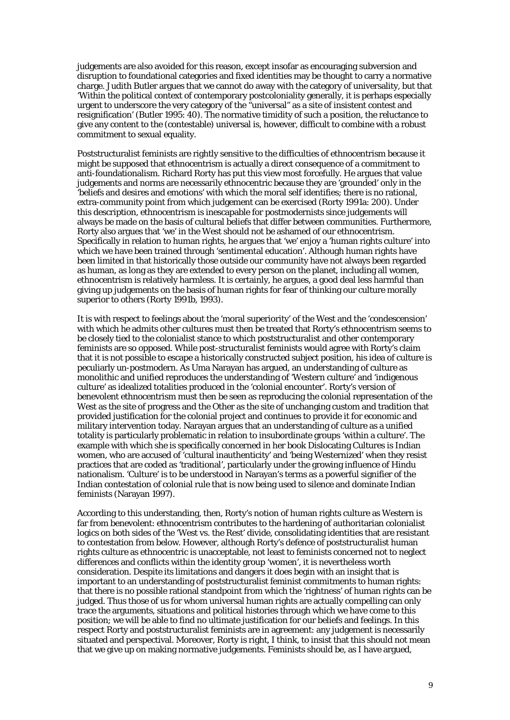judgements are also avoided for this reason, except insofar as encouraging subversion and disruption to foundational categories and fixed identities may be thought to carry a normative charge. Judith Butler argues that we cannot do away with the category of universality, but that 'Within the political context of contemporary postcoloniality generally, it is perhaps especially urgent to underscore the very category of the "universal" as a site of insistent contest and resignification' (Butler 1995: 40). The normative timidity of such a position, the reluctance to give any content to the (contestable) universal is, however, difficult to combine with a robust commitment to sexual equality.

Poststructuralist feminists are rightly sensitive to the difficulties of ethnocentrism because it might be supposed that ethnocentrism is actually a direct consequence of a commitment to anti-foundationalism. Richard Rorty has put this view most forcefully. He argues that value judgements and norms are necessarily ethnocentric because they are 'grounded' only in the 'beliefs and desires and emotions' with which the moral self identifies; there is no rational, extra-community point from which judgement can be exercised (Rorty 1991a: 200). Under this description, ethnocentrism is inescapable for postmodernists since judgements will always be made on the basis of cultural beliefs that differ between communities. Furthermore, Rorty also argues that 'we' in the West should not be ashamed of our ethnocentrism. Specifically in relation to human rights, he argues that 'we' enjoy a 'human rights culture' into which we have been trained through 'sentimental education'. Although human rights have been limited in that historically those outside our community have not always been regarded as human, as long as they are extended to every person on the planet, including all women, ethnocentrism is relatively harmless. It is certainly, he argues, a good deal less harmful than giving up judgements on the basis of human rights for fear of thinking our culture morally superior to others (Rorty 1991b, 1993).

It is with respect to feelings about the 'moral superiority' of the West and the 'condescension' with which he admits other cultures must then be treated that Rorty's ethnocentrism seems to be closely tied to the colonialist stance to which poststructuralist and other contemporary feminists are so opposed. While post-structuralist feminists would agree with Rorty's claim that it is not possible to escape a historically constructed subject position, his idea of culture is peculiarly un-postmodern. As Uma Narayan has argued, an understanding of culture as monolithic and unified reproduces the understanding of 'Western culture' and 'indigenous culture' as idealized totalities produced in the 'colonial encounter'. Rorty's version of benevolent ethnocentrism must then be seen as reproducing the colonial representation of the West as the site of progress and the Other as the site of unchanging custom and tradition that provided justification for the colonial project and continues to provide it for economic and military intervention today. Narayan argues that an understanding of culture as a unified totality is particularly problematic in relation to insubordinate groups 'within a culture'. The example with which she is specifically concerned in her book Dislocating Cultures is Indian women, who are accused of 'cultural inauthenticity' and 'being Westernized' when they resist practices that are coded as 'traditional', particularly under the growing influence of Hindu nationalism. 'Culture' is to be understood in Narayan's terms as a powerful signifier of the Indian contestation of colonial rule that is now being used to silence and dominate Indian feminists (Narayan 1997).

According to this understanding, then, Rorty's notion of human rights culture as Western is far from benevolent: ethnocentrism contributes to the hardening of authoritarian colonialist logics on both sides of the 'West vs. the Rest' divide, consolidating identities that are resistant to contestation from below. However, although Rorty's defence of poststructuralist human rights culture as ethnocentric is unacceptable, not least to feminists concerned not to neglect differences and conflicts within the identity group 'women', it is nevertheless worth consideration. Despite its limitations and dangers it does begin with an insight that is important to an understanding of poststructuralist feminist commitments to human rights: that there is no possible rational standpoint from which the 'rightness' of human rights can be judged. Thus those of us for whom universal human rights are actually compelling can only trace the arguments, situations and political histories through which we have come to this position; we will be able to find no ultimate justification for our beliefs and feelings. In this respect Rorty and poststructuralist feminists are in agreement: any judgement is necessarily situated and perspectival. Moreover, Rorty is right, I think, to insist that this should not mean that we give up on making normative judgements. Feminists should be, as I have argued,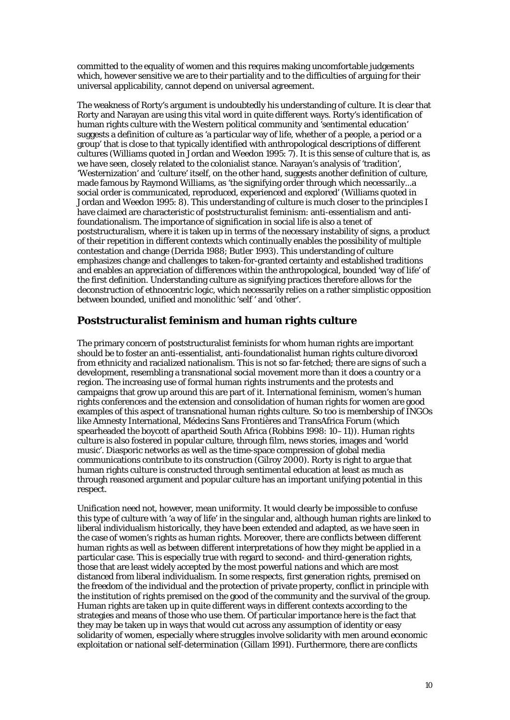committed to the equality of women and this requires making uncomfortable judgements which, however sensitive we are to their partiality and to the difficulties of arguing for their universal applicability, cannot depend on universal agreement.

The weakness of Rorty's argument is undoubtedly his understanding of culture. It is clear that Rorty and Narayan are using this vital word in quite different ways. Rorty's identification of human rights culture with the Western political community and 'sentimental education' suggests a definition of culture as 'a particular way of life, whether of a people, a period or a group' that is close to that typically identified with anthropological descriptions of different cultures (Williams quoted in Jordan and Weedon 1995: 7). It is this sense of culture that is, as we have seen, closely related to the colonialist stance. Narayan's analysis of 'tradition', 'Westernization' and 'culture' itself, on the other hand, suggests another definition of culture, made famous by Raymond Williams, as 'the signifying order through which necessarily...a social order is communicated, reproduced, experienced and explored' (Williams quoted in Jordan and Weedon 1995: 8). This understanding of culture is much closer to the principles I have claimed are characteristic of poststructuralist feminism: anti-essentialism and antifoundationalism. The importance of signification in social life is also a tenet of poststructuralism, where it is taken up in terms of the necessary instability of signs, a product of their repetition in different contexts which continually enables the possibility of multiple contestation and change (Derrida 1988; Butler 1993). This understanding of culture emphasizes change and challenges to taken-for-granted certainty and established traditions and enables an appreciation of differences within the anthropological, bounded 'way of life' of the first definition. Understanding culture as signifying practices therefore allows for the deconstruction of ethnocentric logic, which necessarily relies on a rather simplistic opposition between bounded, unified and monolithic 'self ' and 'other'.

#### **Poststructuralist feminism and human rights culture**

The primary concern of poststructuralist feminists for whom human rights are important should be to foster an anti-essentialist, anti-foundationalist human rights culture divorced from ethnicity and racialized nationalism. This is not so far-fetched; there are signs of such a development, resembling a transnational social movement more than it does a country or a region. The increasing use of formal human rights instruments and the protests and campaigns that grow up around this are part of it. International feminism, women's human rights conferences and the extension and consolidation of human rights for women are good examples of this aspect of transnational human rights culture. So too is membership of INGOs like Amnesty International, Médecins Sans Frontières and TransAfrica Forum (which spearheaded the boycott of apartheid South Africa (Robbins 1998: 10–11)). Human rights culture is also fostered in popular culture, through film, news stories, images and 'world music'. Diasporic networks as well as the time-space compression of global media communications contribute to its construction (Gilroy 2000). Rorty is right to argue that human rights culture is constructed through sentimental education at least as much as through reasoned argument and popular culture has an important unifying potential in this respect.

Unification need not, however, mean uniformity. It would clearly be impossible to confuse this type of culture with 'a way of life' in the singular and, although human rights are linked to liberal individualism historically, they have been extended and adapted, as we have seen in the case of women's rights as human rights. Moreover, there are conflicts between different human rights as well as between different interpretations of how they might be applied in a particular case. This is especially true with regard to second- and third-generation rights, those that are least widely accepted by the most powerful nations and which are most distanced from liberal individualism. In some respects, first generation rights, premised on the freedom of the individual and the protection of private property, conflict in principle with the institution of rights premised on the good of the community and the survival of the group. Human rights are taken up in quite different ways in different contexts according to the strategies and means of those who use them. Of particular importance here is the fact that they may be taken up in ways that would cut across any assumption of identity or easy solidarity of women, especially where struggles involve solidarity with men around economic exploitation or national self-determination (Gillam 1991). Furthermore, there are conflicts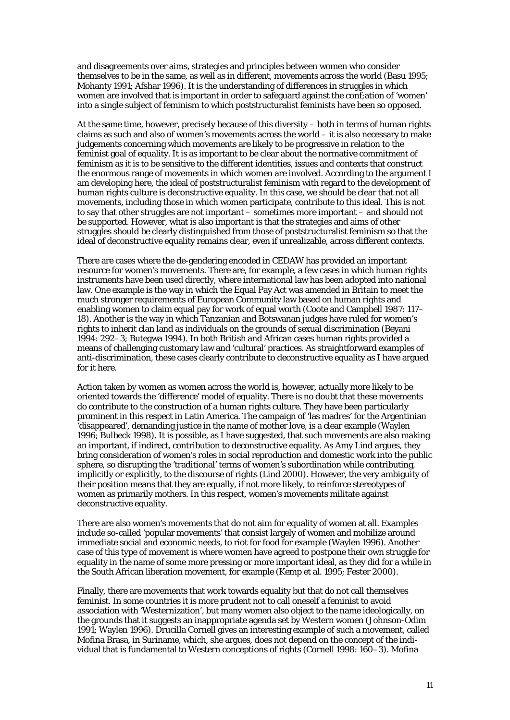and disagreements over aims, strategies and principles between women who consider themselves to be in the same, as well as in different, movements across the world (Basu 1995; Mohanty 1991; Afshar 1996). It is the understanding of differences in struggles in which women are involved that is important in order to safeguard against the conf;ation of 'women' into a single subject of feminism to which poststructuralist feminists have been so opposed.

At the same time, however, precisely because of this diversity – both in terms of human rights claims as such and also of women's movements across the world – it is also necessary to make judgements concerning which movements are likely to be progressive in relation to the feminist goal of equality. It is as important to be clear about the normative commitment of feminism as it is to be sensitive to the different identities, issues and contexts that construct the enormous range of movements in which women are involved. According to the argument I am developing here, the ideal of poststructuralist feminism with regard to the development of human rights culture is deconstructive equality. In this case, we should be clear that not all movements, including those in which women participate, contribute to this ideal. This is not to say that other struggles are not important – sometimes more important – and should not be supported. However, what is also important is that the strategies and aims of other struggles should be clearly distinguished from those of poststructuralist feminism so that the ideal of deconstructive equality remains clear, even if unrealizable, across different contexts.

There are cases where the de-gendering encoded in CEDAW has provided an important resource for women's movements. There are, for example, a few cases in which human rights instruments have been used directly, where international law has been adopted into national law. One example is the way in which the Equal Pay Act was amended in Britain to meet the much stronger requirements of European Community law based on human rights and enabling women to claim equal pay for work of equal worth (Coote and Campbell 1987: 117– 18). Another is the way in which Tanzanian and Botswanan judges have ruled for women's rights to inherit clan land as individuals on the grounds of sexual discrimination (Beyani 1994: 292–3; Butegwa 1994). In both British and African cases human rights provided a means of challenging customary law and 'cultural' practices. As straightforward examples of anti-discrimination, these cases clearly contribute to deconstructive equality as I have argued for it here.

Action taken by women as women across the world is, however, actually more likely to be oriented towards the 'difference' model of equality. There is no doubt that these movements do contribute to the construction of a human rights culture. They have been particularly prominent in this respect in Latin America. The campaign of 'las madres' for the Argentinian 'disappeared', demanding justice in the name of mother love, is a clear example (Waylen 1996; Bulbeck 1998). It is possible, as I have suggested, that such movements are also making an important, if indirect, contribution to deconstructive equality. As Amy Lind argues, they bring consideration of women's roles in social reproduction and domestic work into the public sphere, so disrupting the 'traditional' terms of women's subordination while contributing, implicitly or explicitly, to the discourse of rights (Lind 2000). However, the very ambiguity of their position means that they are equally, if not more likely, to reinforce stereotypes of women as primarily mothers. In this respect, women's movements militate against deconstructive equality.

There are also women's movements that do not aim for equality of women at all. Examples include so-called 'popular movements' that consist largely of women and mobilize around immediate social and economic needs, to riot for food for example (Waylen 1996). Another case of this type of movement is where women have agreed to postpone their own struggle for equality in the name of some more pressing or more important ideal, as they did for a while in the South African liberation movement, for example (Kemp et al. 1995; Fester 2000).

Finally, there are movements that work towards equality but that do not call themselves feminist. In some countries it is more prudent not to call oneself a feminist to avoid association with 'Westernization', but many women also object to the name ideologically, on the grounds that it suggests an inappropriate agenda set by Western women (Johnson-Odim 1991; Waylen 1996). Drucilla Cornell gives an interesting example of such a movement, called Mofina Brasa, in Suriname, which, she argues, does not depend on the concept of the individual that is fundamental to Western conceptions of rights (Cornell 1998: 160–3). Mofina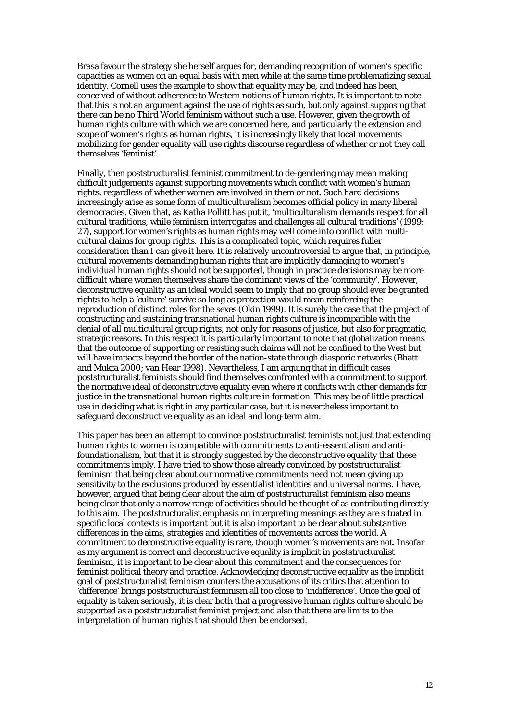Brasa favour the strategy she herself argues for, demanding recognition of women's specific capacities as women on an equal basis with men while at the same time problematizing sexual identity. Cornell uses the example to show that equality may be, and indeed has been, conceived of without adherence to Western notions of human rights. It is important to note that this is not an argument against the use of rights as such, but only against supposing that there can be no Third World feminism without such a use. However, given the growth of human rights culture with which we are concerned here, and particularly the extension and scope of women's rights as human rights, it is increasingly likely that local movements mobilizing for gender equality will use rights discourse regardless of whether or not they call themselves 'feminist'.

Finally, then poststructuralist feminist commitment to de-gendering may mean making difficult judgements against supporting movements which conflict with women's human rights, regardless of whether women are involved in them or not. Such hard decisions increasingly arise as some form of multiculturalism becomes official policy in many liberal democracies. Given that, as Katha Pollitt has put it, 'multiculturalism demands respect for all cultural traditions, while feminism interrogates and challenges all cultural traditions' (1999: 27), support for women's rights as human rights may well come into conflict with multicultural claims for group rights. This is a complicated topic, which requires fuller consideration than I can give it here. It is relatively uncontroversial to argue that, in principle, cultural movements demanding human rights that are implicitly damaging to women's individual human rights should not be supported, though in practice decisions may be more difficult where women themselves share the dominant views of the 'community'. However, deconstructive equality as an ideal would seem to imply that no group should ever be granted rights to help a 'culture' survive so long as protection would mean reinforcing the reproduction of distinct roles for the sexes (Okin 1999). It is surely the case that the project of constructing and sustaining transnational human rights culture is incompatible with the denial of all multicultural group rights, not only for reasons of justice, but also for pragmatic, strategic reasons. In this respect it is particularly important to note that globalization means that the outcome of supporting or resisting such claims will not be confined to the West but will have impacts beyond the border of the nation-state through diasporic networks (Bhatt and Mukta 2000; van Hear 1998). Nevertheless, I am arguing that in difficult cases poststructuralist feminists should find themselves confronted with a commitment to support the normative ideal of deconstructive equality even where it conflicts with other demands for justice in the transnational human rights culture in formation. This may be of little practical use in deciding what is right in any particular case, but it is nevertheless important to safeguard deconstructive equality as an ideal and long-term aim.

This paper has been an attempt to convince poststructuralist feminists not just that extending human rights to women is compatible with commitments to anti-essentialism and antifoundationalism, but that it is strongly suggested by the deconstructive equality that these commitments imply. I have tried to show those already convinced by poststructuralist feminism that being clear about our normative commitments need not mean giving up sensitivity to the exclusions produced by essentialist identities and universal norms. I have, however, argued that being clear about the aim of poststructuralist feminism also means being clear that only a narrow range of activities should be thought of as contributing directly to this aim. The poststructuralist emphasis on interpreting meanings as they are situated in specific local contexts is important but it is also important to be clear about substantive differences in the aims, strategies and identities of movements across the world. A commitment to deconstructive equality is rare, though women's movements are not. Insofar as my argument is correct and deconstructive equality is implicit in poststructuralist feminism, it is important to be clear about this commitment and the consequences for feminist political theory and practice. Acknowledging deconstructive equality as the implicit goal of poststructuralist feminism counters the accusations of its critics that attention to 'difference' brings poststructuralist feminism all too close to 'indifference'. Once the goal of equality is taken seriously, it is clear both that a progressive human rights culture should be supported as a poststructuralist feminist project and also that there are limits to the interpretation of human rights that should then be endorsed.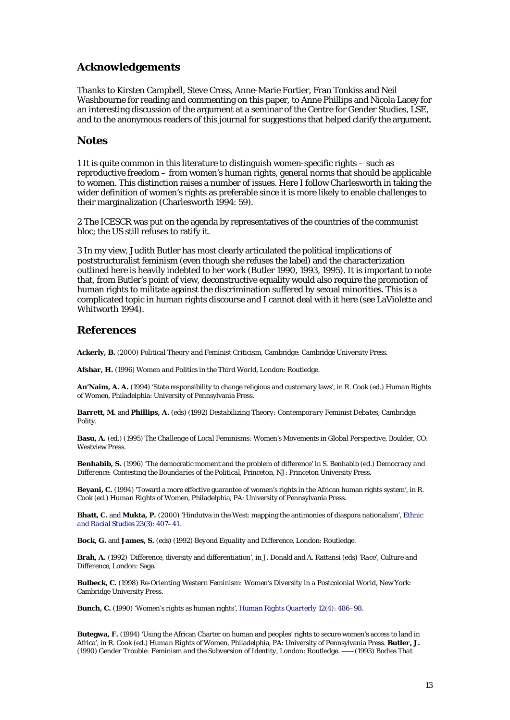## **Acknowledgements**

Thanks to Kirsten Campbell, Steve Cross, Anne-Marie Fortier, Fran Tonkiss and Neil Washbourne for reading and commenting on this paper, to Anne Phillips and Nicola Lacey for an interesting discussion of the argument at a seminar of the Centre for Gender Studies, LSE, and to the anonymous readers of this journal for suggestions that helped clarify the argument.

#### **Notes**

1 It is quite common in this literature to distinguish women-specific rights – such as reproductive freedom – from women's human rights, general norms that should be applicable to women. This distinction raises a number of issues. Here I follow Charlesworth in taking the wider definition of women's rights as preferable since it is more likely to enable challenges to their marginalization (Charlesworth 1994: 59).

2 The ICESCR was put on the agenda by representatives of the countries of the communist bloc; the US still refuses to ratify it.

3 In my view, Judith Butler has most clearly articulated the political implications of poststructuralist feminism (even though she refuses the label) and the characterization outlined here is heavily indebted to her work (Butler 1990, 1993, 1995). It is important to note that, from Butler's point of view, deconstructive equality would also require the promotion of human rights to militate against the discrimination suffered by sexual minorities. This is a complicated topic in human rights discourse and I cannot deal with it here (see LaViolette and Whitworth 1994).

#### **References**

**Ackerly, B.** (2000) *Political Theory and Feminist Criticism*, Cambridge: Cambridge University Press.

**Afshar, H.** (1996) *Women and Politics in the Third World*, London: Routledge.

**An'Naim, A. A.** (1994) 'State responsibility to change religious and customary laws', in R. Cook (ed.) *Human Rights of Women*, Philadelphia: University of Pennsylvania Press.

**Barrett, M.** and **Phillips, A.** (eds) (1992) *Destabilizing Theory: Contemporary Feminist Debates*, Cambridge: Polity.

**Basu, A.** (ed.) (1995) *The Challenge of Local Feminisms: Women's Movements in Global Perspective*, Boulder, CO: Westview Press.

**Benhabib, S.** (1996) 'The democratic moment and the problem of difference' in S. Benhabib (ed.) *Democracy and Difference: Contesting the Boundaries of the Political*, Princeton, NJ: Princeton University Press.

**Beyani, C.** (1994) 'Toward a more effective guarantee of women's rights in the African human rights system', in R. Cook (ed.) *Human Rights of Women*, Philadelphia, PA: University of Pennsylvania Press.

**Bhatt, C.** and **Mukta, P.** (2000) 'Hindutva in the West: mapping the antimonies of diaspora nationalism', *[Ethnic](http://www.ingentaconnect.com/content/external-references?article=/0141-9870%5E28%5E2923:3L.407%5Baid=3559981%5D)  [and Racial Studies](http://www.ingentaconnect.com/content/external-references?article=/0141-9870%5E28%5E2923:3L.407%5Baid=3559981%5D)* 23(3): 407–41.

**Bock, G.** and **James, S.** (eds) (1992) *Beyond Equality and Difference*, London: Routledge.

**Brah, A.** (1992) 'Difference, diversity and differentiation', in J. Donald and A. Rattansi (eds) *'Race', Culture and Difference*, London: Sage.

**Bulbeck, C.** (1998) *Re-Orienting Western Feminism: Women's Diversity in a Postcolonial World*, New York: Cambridge University Press.

**Bunch, C.** (1990) 'Women's rights as human rights', *[Human Rights Quarterly](http://www.ingentaconnect.com/content/external-references?article=/0275-0392%5E28%5E2912:4L.486%5Baid=3936553%5D)* [12\(4\): 486–98.](http://www.ingentaconnect.com/content/external-references?article=/0275-0392%5E28%5E2912:4L.486%5Baid=3936553%5D) 

**Butegwa, F.** (1994) 'Using the African Charter on human and peoples' rights to secure women's access to land in Africa', in R. Cook (ed.) *Human Rights of Women*, Philadelphia, PA: University of Pennsylvania Press. **Butler, J.**  (1990) *Gender Trouble: Feminism and the Subversion of Identity*, London: Routledge. —— (1993) *Bodies That*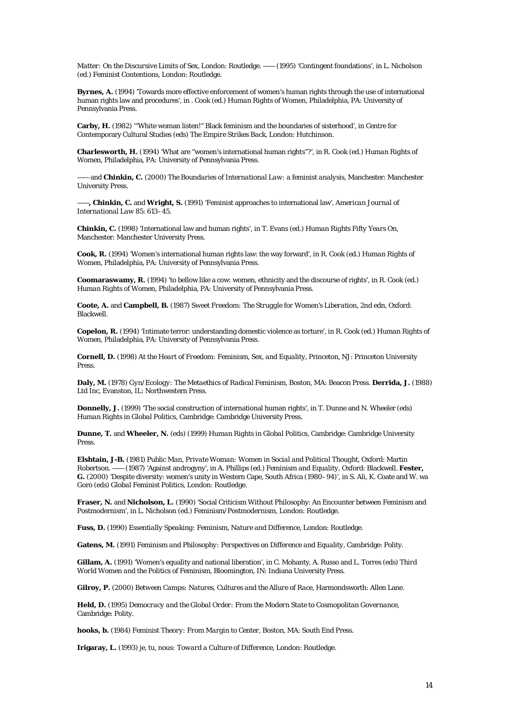*Matter: On the Discursive Limits of Sex*, London: Routledge. —— (1995) 'Contingent foundations', in L. Nicholson (ed.) *Feminist Contentions*, London: Routledge.

**Byrnes, A.** (1994) 'Towards more effective enforcement of women's human rights through the use of international human rights law and procedures', in . Cook (ed.) *Human Rights of Women*, Philadelphia, PA: University of Pennsylvania Press.

**Carby, H.** (1982) '"White woman listen!" Black feminism and the boundaries of sisterhood', in Centre for Contemporary Cultural Studies (eds) *The Empire Strikes Back*, London: Hutchinson.

**Charlesworth, H.** (1994) 'What are "women's international human rights"?', in R. Cook (ed.) *Human Rights of Women*, Philadelphia, PA: University of Pennsylvania Press.

—— and **Chinkin, C.** (2000) *The Boundaries of International Law: a feminist analysis*, Manchester: Manchester University Press.

——**, Chinkin, C.** and **Wright, S.** (1991) 'Feminist approaches to international law', *American Journal of International Law* 85: 613–45.

**Chinkin, C.** (1998) 'International law and human rights', in T. Evans (ed.) *Human Rights Fifty Years On*, Manchester: Manchester University Press.

**Cook, R.** (1994) 'Women's international human rights law: the way forward', in R. Cook (ed.) *Human Rights of Women*, Philadelphia, PA: University of Pennsylvania Press.

**Coomaraswamy, R.** (1994) 'to bellow like a cow: women, ethnicity and the discourse of rights', in R. Cook (ed.) *Human Rights of Women*, Philadelphia, PA: University of Pennsylvania Press.

**Coote, A.** and **Campbell, B.** (1987) *Sweet Freedom: The Struggle for Women's Liberation*, 2nd edn, Oxford: Blackwell.

**Copelon, R.** (1994) 'Intimate terror: understanding domestic violence as torture', in R. Cook (ed.) *Human Rights of Women*, Philadelphia, PA: University of Pennsylvania Press.

**Cornell, D.** (1998) *At the Heart of Freedom: Feminism, Sex, and Equality*, Princeton, NJ: Princeton University Press.

**Daly, M.** (1978) *Gyn/Ecology: The Metaethics of Radical Feminism*, Boston, MA: Beacon Press. **Derrida, J.** (1988) *Ltd Inc*, Evanston, IL: Northwestern Press.

**Donnelly, J.** (1999) 'The social construction of international human rights', in T. Dunne and N. Wheeler (eds) *Human Rights in Global Politics*, Cambridge: Cambridge University Press.

**Dunne, T.** and **Wheeler, N.** (eds) (1999) *Human Rights in Global Politics*, Cambridge: Cambridge University Press.

**Elshtain, J-B.** (1981) *Public Man, Private Woman: Women in Social and Political Thought*, Oxford: Martin Robertson. —— (1987) 'Against androgyny', in A. Phillips (ed.) *Feminism and Equality*, Oxford: Blackwell. **Fester, G.** (2000) 'Despite diversity: women's unity in Western Cape, South Africa (1980–94)', in S. Ali, K. Coate and W. wa Goro (eds) *Global Feminist Politics*, London: Routledge.

**Fraser, N.** and **Nicholson, L.** (1990) 'Social Criticism Without Philosophy: An Encounter between Feminism and Postmodernism', in L. Nicholson (ed.) *Feminism/Postmodernism*, London: Routledge.

**Fuss, D.** (1990) *Essentially Speaking: Feminism, Nature and Difference*, London: Routledge.

**Gatens, M.** (1991) *Feminism and Philosophy: Perspectives on Difference and Equality*, Cambridge: Polity.

**Gillam, A.** (1991) 'Women's equality and national liberation', in C. Mohanty, A. Russo and L. Torres (eds) *Third World Women and the Politics of Feminism*, Bloomington, IN: Indiana University Press.

**Gilroy, P.** (2000) *Between Camps: Natures, Cultures and the Allure of Race*, Harmondsworth: Allen Lane.

**Held, D.** (1995) *Democracy and the Global Order: From the Modern State to Cosmopolitan Governance*, Cambridge: Polity.

**hooks, b.** (1984) *Feminist Theory: From Margin to Center*, Boston, MA: South End Press.

**Irigaray, L.** (1993) *je, tu, nous: Toward a Culture of Difference*, London: Routledge.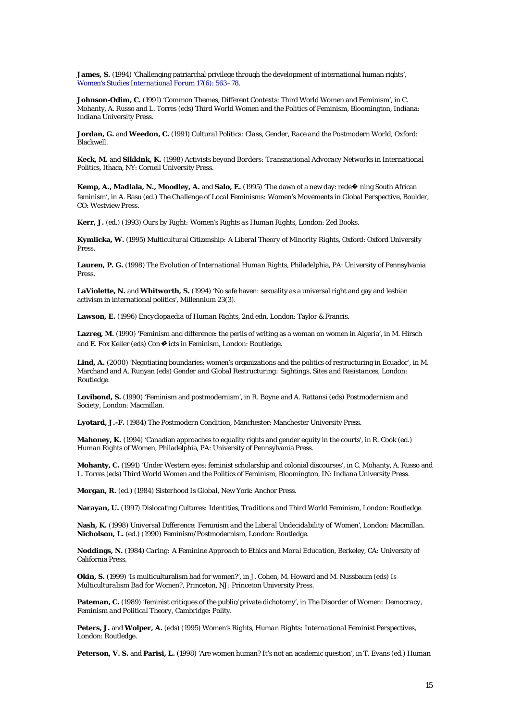**James, S.** (1994) 'Challenging patriarchal privilege through the development of international human rights'. *[Women's Studies International Forum](http://www.ingentaconnect.com/content/external-references?article=/0277-5395%5E28%5E2917:6L.563%5Baid=2845182%5D)* 17(6): 563–78.

**Johnson-Odim, C.** (1991) 'Common Themes, Different Contexts: Third World Women and Feminism', in C. Mohanty, A. Russo and L. Torres (eds) *Third World Women and the Politics of Feminism*, Bloomington, Indiana: Indiana University Press.

**Jordan, G.** and **Weedon, C.** (1991) *Cultural Politics: Class, Gender, Race and the Postmodern World*, Oxford: Blackwell.

**Keck, M.** and **Sikkink, K.** (1998) *Activists beyond Borders: Transnational Advocacy Networks in International Politics*, Ithaca, NY: Cornell University Press.

**Kemp, A., Madlala, N., Moodley, A.** and **Salo, E.** (1995) 'The dawn of a new day: rede� ning South African feminism', in A. Basu (ed.) *The Challenge of Local Feminisms: Women's Movements in Global Perspective*, Boulder, CO: Westview Press.

**Kerr, J.** (ed.) (1993) *Ours by Right: Women's Rights as Human Rights*, London: Zed Books.

**Kymlicka, W.** (1995) *Multicultural Citizenship: A Liberal Theory of Minority Rights*, Oxford: Oxford University Press.

**Lauren, P. G.** (1998) *The Evolution of International Human Rights*, Philadelphia, PA: University of Pennsylvania Press.

**LaViolette, N.** and **Whitworth, S.** (1994) 'No safe haven: sexuality as a universal right and gay and lesbian activism in international politics', *Millennium* 23(3).

**Lawson, E.** (1996) *Encyclopaedia of Human Rights*, 2nd edn, London: Taylor & Francis.

**Lazreg, M.** (1990) 'Feminism and difference: the perils of writing as a woman on women in Algeria', in M. Hirsch and E. Fox Keller (eds) *Con*� *icts in Feminism*, London: Routledge.

Lind, A. (2000) 'Negotiating boundaries: women's organizations and the politics of restructuring in Ecuador', in M. Marchand and A. Runyan (eds) *Gender and Global Restructuring: Sightings, Sites and Resistances*, London: Routledge.

**Lovibond, S.** (1990) 'Feminism and postmodernism', in R. Boyne and A. Rattansi (eds) *Postmodernism and Society*, London: Macmillan.

**Lyotard, J.-F.** (1984) *The Postmodern Condition*, Manchester: Manchester University Press.

**Mahoney, K.** (1994) 'Canadian approaches to equality rights and gender equity in the courts', in R. Cook (ed.) *Human Rights of Women*, Philadelphia, PA: University of Pennsylvania Press.

**Mohanty, C.** (1991) 'Under Western eyes: feminist scholarship and colonial discourses', in C. Mohanty, A. Russo and L. Torres (eds) *Third World Women and the Politics of Feminism*, Bloomington, IN: Indiana University Press.

**Morgan, R.** (ed.) (1984) *Sisterhood Is Global*, New York: Anchor Press.

**Narayan, U.** (1997) *Dislocating Cultures: Identities, Traditions and Third World Feminism*, London: Routledge.

**Nash, K.** (1998) *Universal Difference: Feminism and the Liberal Undecidability of 'Women'*, London: Macmillan. **Nicholson, L.** (ed.) (1990) *Feminism/Postmodernism*, London: Routledge.

**Noddings, N.** (1984) *Caring: A Feminine Approach to Ethics and Moral Education*, Berkeley, CA: University of California Press.

**Okin, S.** (1999) 'Is multiculturalism bad for women?', in J. Cohen, M. Howard and M. Nussbaum (eds) *Is Multiculturalism Bad for Women?*, Princeton, NJ: Princeton University Press.

**Pateman, C.** (1989) 'feminist critiques of the public/private dichotomy', in *The Disorder of Women: Democracy, Feminism and Political Theory*, Cambridge: Polity.

**Peters, J.** and **Wolper, A.** (eds) (1995) *Women's Rights, Human Rights: International Feminist Perspectives*, London: Routledge.

**Peterson, V. S.** and **Parisi, L.** (1998) 'Are women human? It's not an academic question', in T. Evans (ed.) *Human*